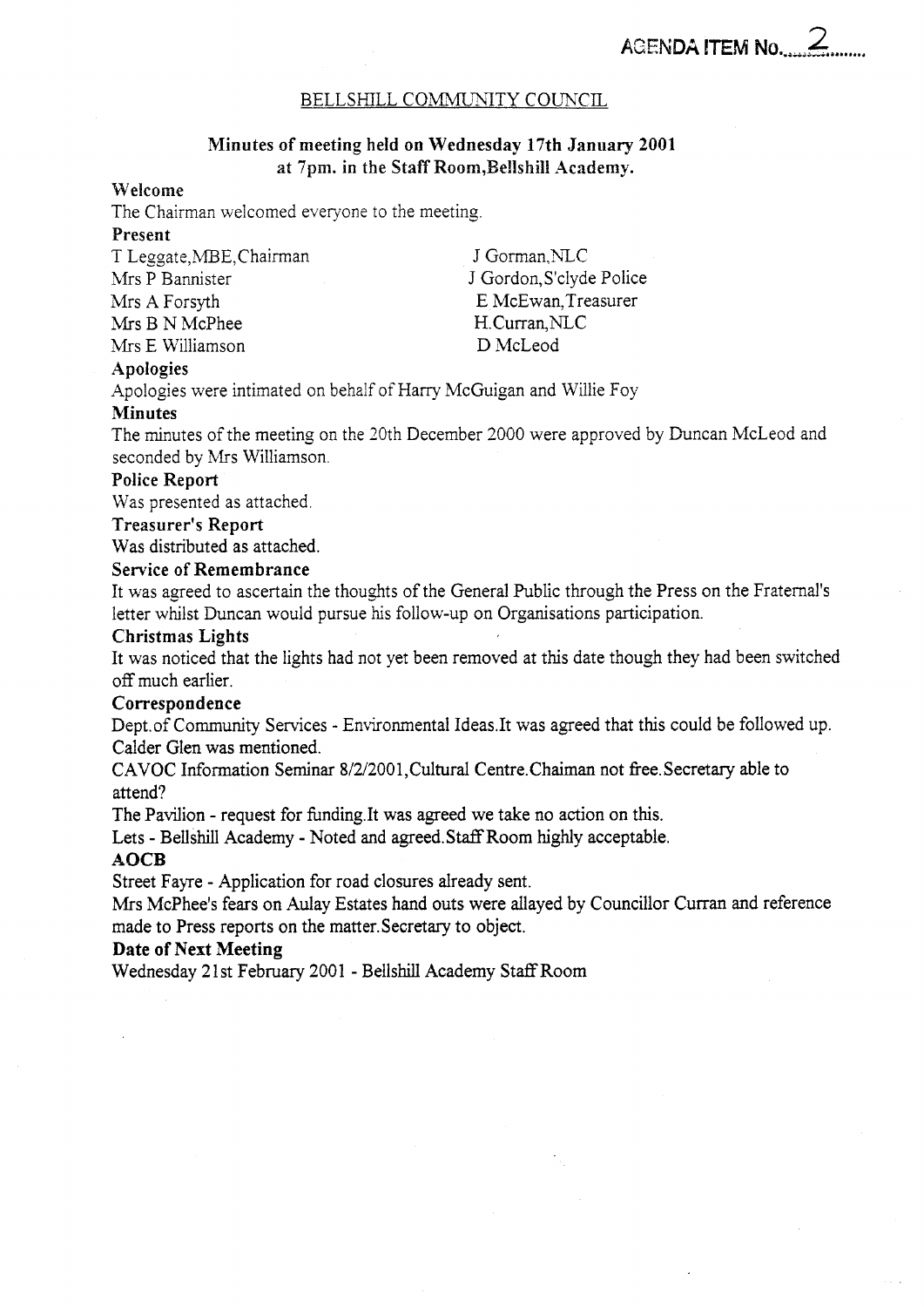# BELLSHILL COMMUNITY COUNCIL

# **Minutes of meeting held on Wednesday 17th January 2001**  at 7pm. in the Staff Room, Bellshill Academy.

## **Welcome**

The Chairman welcomed everyone to the meeting.

# **Present**

T Leggate, MBE, Chairman J Gorman, NLC Mrs P Bannister Mrs **A** Forsyth E McEwan,Treasurer Mrs B N McPhee H.Curran, NLC Mrs E Williamson D McLeod

J Gordon,S'clyde Police

## **Apologies**

Apologies were intimated on behalf of Harry McGuigan and Willie Foy

### **Minutes**

The minutes of the meeting on the 30th December 2000 were approved by Duncan McLeod and seconded by Mrs Williamson

# **Police Report**

Was presented as attached

### **Treasurer's Report**

Was distributed as attached.

## **Service of Remembrance**

It was agreed to ascertain the thoughts of the General Public through the Press on the Fraternal's letter whilst Duncan would pursue his follow-up on Organisations participation.

### **Christmas Lights**

It was noticed that the lights had not yet been removed at this date though they had been switched off much earlier.

## **Correspondence**

Dept.of Community Services - Environmental Ideas.It was agreed that this could be followed up. Calder Glen was mentioned.

CAVOC Information Seminar 8/2/20Ol,Cultural Centre.Chaiman not fiee. Secretary able to attend?

The Pavilion - request for funding.It was agreed we take no action on this.

Lets - Bellshill Academy - Noted and agreed. Staff Room highly acceptable.

### **AQCB**

Street Fayre - Application for road closures already sent.

**Mrs** McPhee's fears on Aulay Estates hand outs were allayed by Councillor Curran and reference made to Press reports on the matter.Secretary to object.

### **Date of Next Meeting**

Wednesday 21st February 2001 - BellshilI Academy StafTRoom